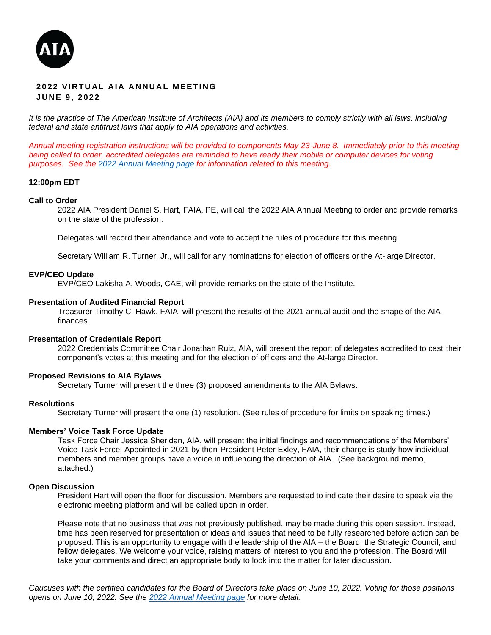

## **2022 VIRTUAL AIA ANNUAL MEETING J U N E 9 , 2022**

*It is the practice of The American Institute of Architects (AIA) and its members to comply strictly with all laws, including federal and state antitrust laws that apply to AIA operations and activities.*

*Annual meeting registration instructions will be provided to components May 23-June 8. Immediately prior to this meeting*  being called to order, accredited delegates are reminded to have ready their mobile or computer devices for voting *purposes. See the [2022 Annual Meeting page](https://www.aia.org/pages/6468052-2022-annual-meeting) for information related to this meeting.*

#### **12:00pm EDT**

#### **Call to Order**

2022 AIA President Daniel S. Hart, FAIA, PE, will call the 2022 AIA Annual Meeting to order and provide remarks on the state of the profession.

Delegates will record their attendance and vote to accept the rules of procedure for this meeting.

Secretary William R. Turner, Jr., will call for any nominations for election of officers or the At-large Director.

#### **EVP/CEO Update**

EVP/CEO Lakisha A. Woods, CAE, will provide remarks on the state of the Institute.

#### **Presentation of Audited Financial Report**

Treasurer Timothy C. Hawk, FAIA, will present the results of the 2021 annual audit and the shape of the AIA finances.

#### **Presentation of Credentials Report**

2022 Credentials Committee Chair Jonathan Ruiz, AIA, will present the report of delegates accredited to cast their component's votes at this meeting and for the election of officers and the At-large Director.

### **Proposed Revisions to AIA Bylaws**

Secretary Turner will present the three (3) proposed amendments to the AIA Bylaws.

#### **Resolutions**

Secretary Turner will present the one (1) resolution. (See rules of procedure for limits on speaking times.)

#### **Members' Voice Task Force Update**

Task Force Chair Jessica Sheridan, AIA, will present the initial findings and recommendations of the Members' Voice Task Force. Appointed in 2021 by then-President Peter Exley, FAIA, their charge is study how individual members and member groups have a voice in influencing the direction of AIA. (See background memo, attached.)

#### **Open Discussion**

President Hart will open the floor for discussion. Members are requested to indicate their desire to speak via the electronic meeting platform and will be called upon in order.

Please note that no business that was not previously published, may be made during this open session. Instead, time has been reserved for presentation of ideas and issues that need to be fully researched before action can be proposed. This is an opportunity to engage with the leadership of the AIA – the Board, the Strategic Council, and fellow delegates. We welcome your voice, raising matters of interest to you and the profession. The Board will take your comments and direct an appropriate body to look into the matter for later discussion.

*Caucuses with the certified candidates for the Board of Directors take place on June 10, 2022. Voting for those positions opens on June 10, 2022. See the [2022 Annual Meeting page](https://www.aia.org/pages/6468052-2022-annual-meeting) for more detail.*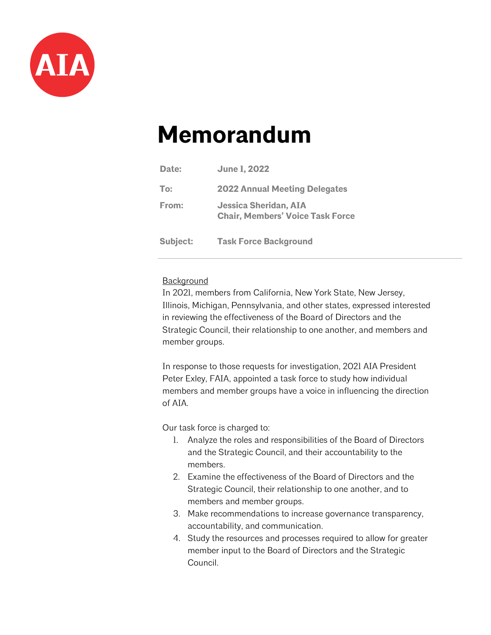

# **Memorandum**

| Date:    | <b>June 1, 2022</b>                                              |
|----------|------------------------------------------------------------------|
| To:      | <b>2022 Annual Meeting Delegates</b>                             |
| From:    | Jessica Sheridan, AIA<br><b>Chair, Members' Voice Task Force</b> |
| Subject: | <b>Task Force Background</b>                                     |

# **Background**

In 2021, members from California, New York State, New Jersey, Illinois, Michigan, Pennsylvania, and other states, expressed interested in reviewing the effectiveness of the Board of Directors and the Strategic Council, their relationship to one another, and members and member groups.

In response to those requests for investigation, 2021 AIA President Peter Exley, FAIA, appointed a task force to study how individual members and member groups have a voice in influencing the direction of AIA.

Our task force is charged to:

- 1. Analyze the roles and responsibilities of the Board of Directors and the Strategic Council, and their accountability to the members.
- 2. Examine the effectiveness of the Board of Directors and the Strategic Council, their relationship to one another, and to members and member groups.
- 3. Make recommendations to increase governance transparency, accountability, and communication.
- 4. Study the resources and processes required to allow for greater member input to the Board of Directors and the Strategic Council.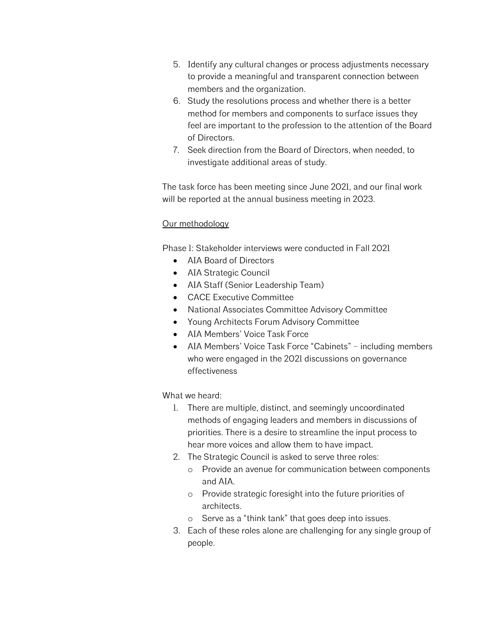- 5. Identify any cultural changes or process adjustments necessary to provide a meaningful and transparent connection between members and the organization.
- 6. Study the resolutions process and whether there is a better method for members and components to surface issues they feel are important to the profession to the attention of the Board of Directors.
- 7. Seek direction from the Board of Directors, when needed, to investigate additional areas of study.

The task force has been meeting since June 2021, and our final work will be reported at the annual business meeting in 2023.

# Our methodology

Phase 1: Stakeholder interviews were conducted in Fall 2021

- AIA Board of Directors
- AIA Strategic Council
- AIA Staff (Senior Leadership Team)
- CACE Executive Committee
- National Associates Committee Advisory Committee
- Young Architects Forum Advisory Committee
- AIA Members' Voice Task Force
- AIA Members' Voice Task Force "Cabinets" including members who were engaged in the 2021 discussions on governance effectiveness

# What we heard:

- 1. There are multiple, distinct, and seemingly uncoordinated methods of engaging leaders and members in discussions of priorities. There is a desire to streamline the input process to hear more voices and allow them to have impact.
- 2. The Strategic Council is asked to serve three roles:
	- o Provide an avenue for communication between components and AIA.
	- o Provide strategic foresight into the future priorities of architects.
	- o Serve as a "think tank" that goes deep into issues.
- 3. Each of these roles alone are challenging for any single group of people.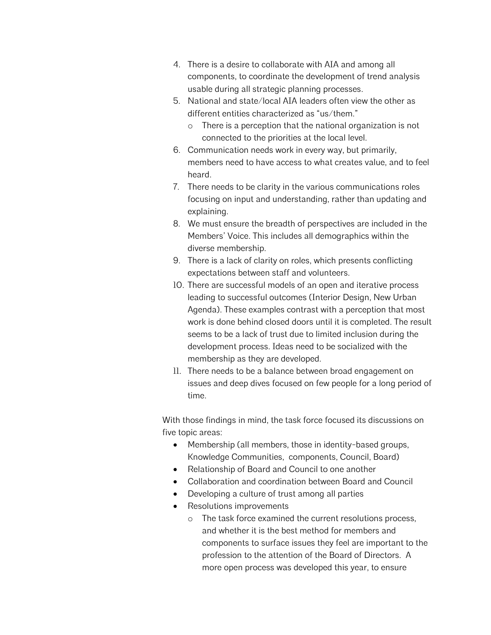- 4. There is a desire to collaborate with AIA and among all components, to coordinate the development of trend analysis usable during all strategic planning processes.
- 5. National and state/local AIA leaders often view the other as different entities characterized as "us/them."
	- o There is a perception that the national organization is not connected to the priorities at the local level.
- 6. Communication needs work in every way, but primarily, members need to have access to what creates value, and to feel heard.
- 7. There needs to be clarity in the various communications roles focusing on input and understanding, rather than updating and explaining.
- 8. We must ensure the breadth of perspectives are included in the Members' Voice. This includes all demographics within the diverse membership.
- 9. There is a lack of clarity on roles, which presents conflicting expectations between staff and volunteers.
- 10. There are successful models of an open and iterative process leading to successful outcomes (Interior Design, New Urban Agenda). These examples contrast with a perception that most work is done behind closed doors until it is completed. The result seems to be a lack of trust due to limited inclusion during the development process. Ideas need to be socialized with the membership as they are developed.
- 11. There needs to be a balance between broad engagement on issues and deep dives focused on few people for a long period of time.

With those findings in mind, the task force focused its discussions on five topic areas:

- Membership (all members, those in identity-based groups, Knowledge Communities, components, Council, Board)
- Relationship of Board and Council to one another
- Collaboration and coordination between Board and Council
- Developing a culture of trust among all parties
- Resolutions improvements
	- o The task force examined the current resolutions process, and whether it is the best method for members and components to surface issues they feel are important to the profession to the attention of the Board of Directors. A more open process was developed this year, to ensure